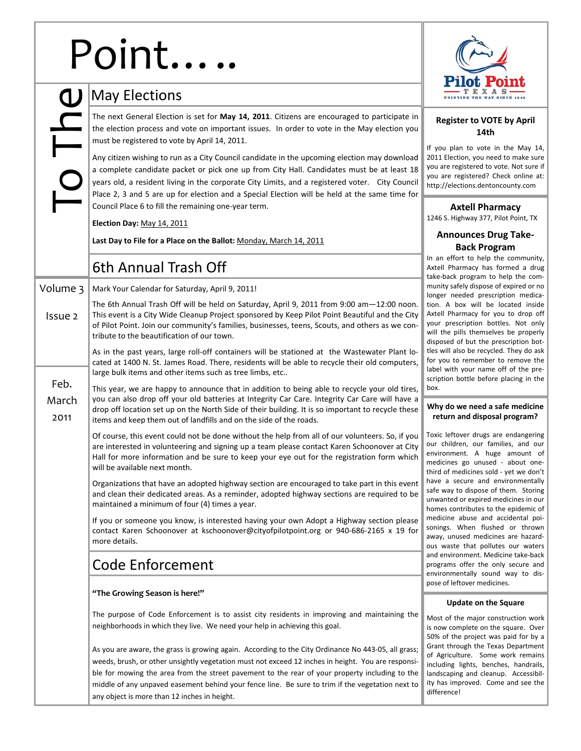# Point

To The

Feb. March 2011

Volume 3

Issue 2

| OINT                                                                                                                                                                                                                                                                                                                                                                                                                                                  |                                                        |  |  |  |  |
|-------------------------------------------------------------------------------------------------------------------------------------------------------------------------------------------------------------------------------------------------------------------------------------------------------------------------------------------------------------------------------------------------------------------------------------------------------|--------------------------------------------------------|--|--|--|--|
| <b>May Elections</b>                                                                                                                                                                                                                                                                                                                                                                                                                                  |                                                        |  |  |  |  |
| The next General Election is set for May 14, 2011. Citizens are encouraged to participate in                                                                                                                                                                                                                                                                                                                                                          | <b>Reg</b>                                             |  |  |  |  |
| the election process and vote on important issues. In order to vote in the May election you<br>must be registered to vote by April 14, 2011.                                                                                                                                                                                                                                                                                                          | If you p                                               |  |  |  |  |
| Any citizen wishing to run as a City Council candidate in the upcoming election may download<br>a complete candidate packet or pick one up from City Hall. Candidates must be at least 18<br>years old, a resident living in the corporate City Limits, and a registered voter. City Council<br>Place 2, 3 and 5 are up for election and a Special Election will be held at the same time for<br>Council Place 6 to fill the remaining one-year term. |                                                        |  |  |  |  |
| Election Day: May 14, 2011                                                                                                                                                                                                                                                                                                                                                                                                                            | 1246 S.                                                |  |  |  |  |
| Last Day to File for a Place on the Ballot: Monday, March 14, 2011                                                                                                                                                                                                                                                                                                                                                                                    | Anr                                                    |  |  |  |  |
| 6th Annual Trash Off                                                                                                                                                                                                                                                                                                                                                                                                                                  | In an et<br>Axtell P<br>take-ba                        |  |  |  |  |
| Mark Your Calendar for Saturday, April 9, 2011!                                                                                                                                                                                                                                                                                                                                                                                                       | munity:<br>longer                                      |  |  |  |  |
| The 6th Annual Trash Off will be held on Saturday, April 9, 2011 from 9:00 am-12:00 noon.<br>tion. A<br>Axtell P<br>This event is a City Wide Cleanup Project sponsored by Keep Pilot Point Beautiful and the City<br>your pr<br>of Pilot Point. Join our community's families, businesses, teens, Scouts, and others as we con-<br>will the<br>tribute to the beautification of our town.<br>dispose                                                 |                                                        |  |  |  |  |
| As in the past years, large roll-off containers will be stationed at the Wastewater Plant lo-<br>cated at 1400 N. St. James Road. There, residents will be able to recycle their old computers,<br>large bulk items and other items such as tree limbs, etc                                                                                                                                                                                           |                                                        |  |  |  |  |
| This year, we are happy to announce that in addition to being able to recycle your old tires,<br>you can also drop off your old batteries at Integrity Car Care. Integrity Car Care will have a<br>drop off location set up on the North Side of their building. It is so important to recycle these<br>items and keep them out of landfills and on the side of the roads.                                                                            | box.<br>Why de<br>retur                                |  |  |  |  |
| Of course, this event could not be done without the help from all of our volunteers. So, if you<br>are interested in volunteering and signing up a team please contact Karen Schoonover at City<br>Hall for more information and be sure to keep your eye out for the registration form which<br>will be available next month.                                                                                                                        | Toxic le<br>our chil<br>environ<br>medicin<br>third of |  |  |  |  |
| Organizations that have an adopted highway section are encouraged to take part in this event<br>and clean their dedicated areas. As a reminder, adopted highway sections are required to be<br>maintained a minimum of four (4) times a year.                                                                                                                                                                                                         | have a<br>safe wa<br>unwant<br>homes o                 |  |  |  |  |
| medicin<br>If you or someone you know, is interested having your own Adopt a Highway section please<br>sonings.<br>contact Karen Schoonover at kschoonover@cityofpilotpoint.org or 940-686-2165 x 19 for<br>away, u<br>more details.<br>ous was                                                                                                                                                                                                       |                                                        |  |  |  |  |
| Code Enforcement                                                                                                                                                                                                                                                                                                                                                                                                                                      | and env<br>program<br>environ                          |  |  |  |  |
| "The Growing Season is here!"                                                                                                                                                                                                                                                                                                                                                                                                                         | pose of                                                |  |  |  |  |
| The purpose of Code Enforcement is to assist city residents in improving and maintaining the<br>neighborhoods in which they live. We need your help in achieving this goal.                                                                                                                                                                                                                                                                           | u<br>Most of<br>is now o                               |  |  |  |  |

As you are aware, the grass is growing again. According to the City Ordinance No 443‐05, all grass; weeds, brush, or other unsightly vegetation must not exceed 12 inches in height. You are responsible for mowing the area from the street pavement to the rear of your property including to the middle of any unpaved easement behind your fence line. Be sure to trim if the vegetation next to any object is more than 12 inches in height.



## **Register to VOTE by April 14th**

plan to vote in the May 14, ection, you need to make sure registered to vote. Not sure if registered? Check online at:  $h$ ections.dentoncounty.com

## **Axtell Pharmacy**

Highway 377, Pilot Point, TX

# **Announces Drug Take‐ Back Program**

ffort to help the community, harmacy has formed a drug ck program to help the comsafely dispose of expired or no needed prescription medicabox will be located inside harmacy for you to drop off rescription bottles. Not only pills themselves be properly d of but the prescription botalso be recycled. They do ask to remember to remove the ith your name off of the pren bottle before placing in the

### **Why do we need a safe medicine returnal and disposal program?**

ftover drugs are endangering ldren, our families, and our ment. A huge amount of es go unused - about onemedicines sold - yet we don't secure and environmentally y to dispose of them. Storing ed or expired medicines in our contributes to the epidemic of e abuse and accidental poi-When flushed or thrown nused medicines are hazardste that pollutes our waters ironment. Medicine take-back ns offer the only secure and mentally sound way to disleftover medicines.

#### **Update on the Square**

the major construction work is now complete on the square. Over 50% of the project was paid for by a Grant through the Texas Department of Agriculture. Some work remains including lights, benches, handrails, landscaping and cleanup. Accessibility has improved. Come and see the difference!